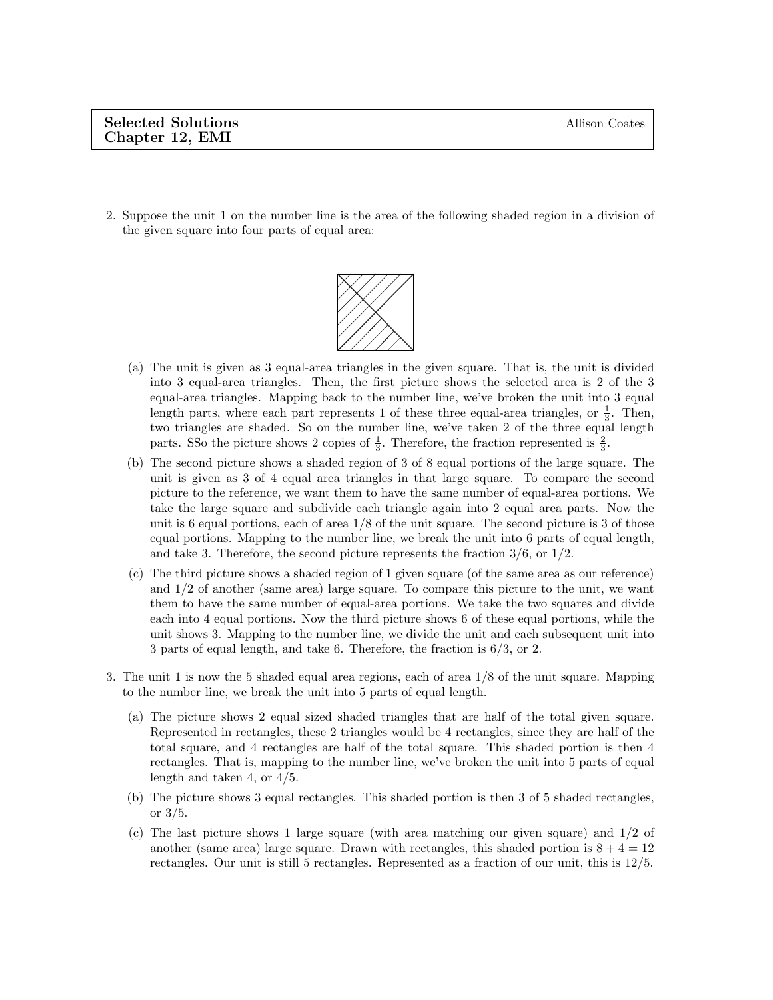2. Suppose the unit 1 on the number line is the area of the following shaded region in a division of the given square into four parts of equal area:



- (a) The unit is given as 3 equal-area triangles in the given square. That is, the unit is divided into 3 equal-area triangles. Then, the first picture shows the selected area is 2 of the 3 equal-area triangles. Mapping back to the number line, we've broken the unit into 3 equal length parts, where each part represents 1 of these three equal-area triangles, or  $\frac{1}{3}$ . Then, two triangles are shaded. So on the number line, we've taken 2 of the three equal length parts. SSo the picture shows 2 copies of  $\frac{1}{3}$ . Therefore, the fraction represented is  $\frac{2}{3}$ .
- (b) The second picture shows a shaded region of 3 of 8 equal portions of the large square. The unit is given as 3 of 4 equal area triangles in that large square. To compare the second picture to the reference, we want them to have the same number of equal-area portions. We take the large square and subdivide each triangle again into 2 equal area parts. Now the unit is 6 equal portions, each of area  $1/8$  of the unit square. The second picture is 3 of those equal portions. Mapping to the number line, we break the unit into 6 parts of equal length, and take 3. Therefore, the second picture represents the fraction  $3/6$ , or  $1/2$ .
- (c) The third picture shows a shaded region of 1 given square (of the same area as our reference) and 1/2 of another (same area) large square. To compare this picture to the unit, we want them to have the same number of equal-area portions. We take the two squares and divide each into 4 equal portions. Now the third picture shows 6 of these equal portions, while the unit shows 3. Mapping to the number line, we divide the unit and each subsequent unit into 3 parts of equal length, and take 6. Therefore, the fraction is 6/3, or 2.
- 3. The unit 1 is now the 5 shaded equal area regions, each of area 1/8 of the unit square. Mapping to the number line, we break the unit into 5 parts of equal length.
	- (a) The picture shows 2 equal sized shaded triangles that are half of the total given square. Represented in rectangles, these 2 triangles would be 4 rectangles, since they are half of the total square, and 4 rectangles are half of the total square. This shaded portion is then 4 rectangles. That is, mapping to the number line, we've broken the unit into 5 parts of equal length and taken 4, or 4/5.
	- (b) The picture shows 3 equal rectangles. This shaded portion is then 3 of 5 shaded rectangles, or 3/5.
	- (c) The last picture shows 1 large square (with area matching our given square) and 1/2 of another (same area) large square. Drawn with rectangles, this shaded portion is  $8 + 4 = 12$ rectangles. Our unit is still 5 rectangles. Represented as a fraction of our unit, this is 12/5.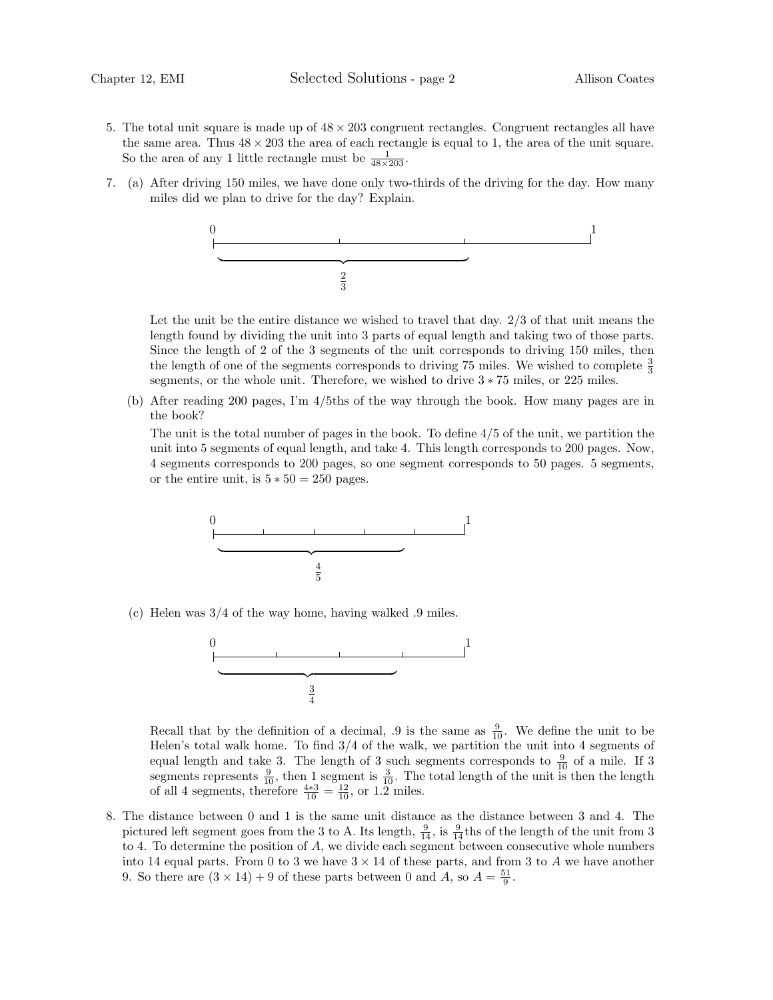- 5. The total unit square is made up of  $48 \times 203$  congruent rectangles. Congruent rectangles all have the same area. Thus  $48 \times 203$  the area of each rectangle is equal to 1, the area of the unit square. So the area of any 1 little rectangle must be  $\frac{1}{48 \times 203}$ .
- 7. (a) After driving 150 miles, we have done only two-thirds of the driving for the day. How many miles did we plan to drive for the day? Explain.



Let the unit be the entire distance we wished to travel that day. 2/3 of that unit means the length found by dividing the unit into 3 parts of equal length and taking two of those parts. Since the length of 2 of the 3 segments of the unit corresponds to driving 150 miles, then the length of one of the segments corresponds to driving 75 miles. We wished to complete  $\frac{3}{3}$ segments, or the whole unit. Therefore, we wished to drive 3 ∗ 75 miles, or 225 miles.

(b) After reading 200 pages, I'm 4/5ths of the way through the book. How many pages are in the book?

The unit is the total number of pages in the book. To define  $4/5$  of the unit, we partition the unit into 5 segments of equal length, and take 4. This length corresponds to 200 pages. Now, 4 segments corresponds to 200 pages, so one segment corresponds to 50 pages. 5 segments, or the entire unit, is  $5 * 50 = 250$  pages.



(c) Helen was 3/4 of the way home, having walked .9 miles.



Recall that by the definition of a decimal, .9 is the same as  $\frac{9}{10}$ . We define the unit to be Helen's total walk home. To find  $3/4$  of the walk, we partition the unit into 4 segments of equal length and take 3. The length of 3 such segments corresponds to  $\frac{9}{10}$  of a mile. If 3 segments represents  $\frac{9}{10}$ , then 1 segment is  $\frac{3}{10}$ . The total length of the unit is then the length of all 4 segments, therefore  $\frac{4*3}{10} = \frac{12}{10}$ , or 1.2 miles.

8. The distance between 0 and 1 is the same unit distance as the distance between 3 and 4. The pictured left segment goes from the 3 to A. Its length,  $\frac{9}{14}$ , is  $\frac{9}{14}$  ths of the length of the unit from 3 to 4. To determine the position of  $A$ , we divide each segment between consecutive whole numbers into 14 equal parts. From 0 to 3 we have  $3 \times 14$  of these parts, and from 3 to A we have another 9. So there are  $(3 \times 14) + 9$  of these parts between 0 and A, so  $A = \frac{51}{9}$ .